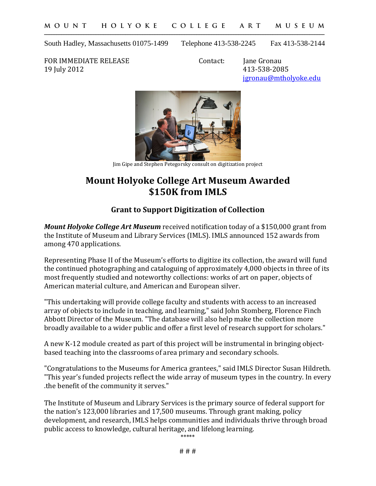South Hadley, Massachusetts 01075-1499 Telephone 413-538-2245 Fax 413-538-2144

FOR IMMEDIATE RELEASE Contact: Jane Gronau<br>19 July 2012 413-538-208

413-538-2085 [jgronau@mtholyoke.edu](mailto:jgronau@mtholyoke.edu)



Jim Gipe and Stephen Petegorsky consult on digitization project

## **Mount Holyoke College Art Museum Awarded \$150K from IMLS**

## **Grant to Support Digitization of Collection**

*Mount Holyoke College Art Museum* received notification today of a \$150,000 grant from the Institute of Museum and Library Services (IMLS). IMLS announced 152 awards from among 470 applications.

Representing Phase II of the Museum's efforts to digitize its collection, the award will fund the continued photographing and cataloguing of approximately 4,000 objects in three of its most frequently studied and noteworthy collections: works of art on paper, objects of American material culture, and American and European silver.

"This undertaking will provide college faculty and students with access to an increased array of objects to include in teaching, and learning," said John Stomberg, Florence Finch Abbott Director of the Museum. "The database will also help make the collection more broadly available to a wider public and offer a first level of research support for scholars."

A new K-12 module created as part of this project will be instrumental in bringing objectbased teaching into the classrooms of area primary and secondary schools.

"Congratulations to the Museums for America grantees," said IMLS Director Susan Hildreth. "This year's funded projects reflect the wide array of museum types in the country. In every .the benefit of the community it serves."

The Institute of Museum and Library Services is the primary source of federal support for the nation's 123,000 libraries and 17,500 museums. Through grant making, policy development, and research, IMLS helps communities and individuals thrive through broad public access to knowledge, cultural heritage, and lifelong learning.

\*\*\*\*\*